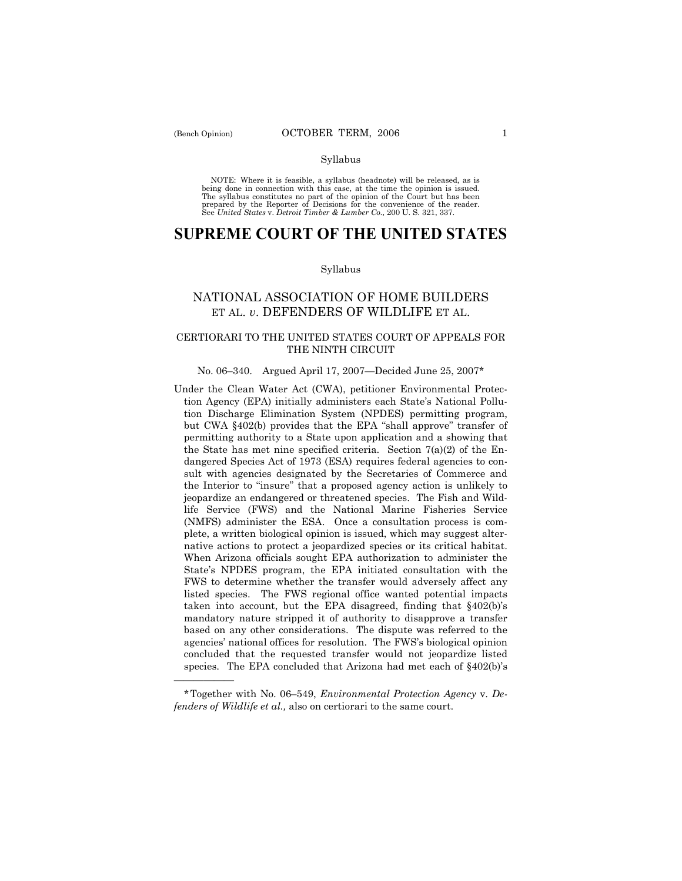### Syllabus

NOTE: Where it is feasible, a syllabus (headnote) will be released, as is being done in connection with this case, at the time the opinion is issued. The syllabus constitutes no part of the opinion of the Court but has been<br>prepared by the Reporter of Decisions for the convenience of the reader.<br>See United States v. Detroit Timber & Lumber Co., 200 U. S. 321, 337.

# **SUPREME COURT OF THE UNITED STATES**

### Syllabus

# NATIONAL ASSOCIATION OF HOME BUILDERS ET AL. *v*. DEFENDERS OF WILDLIFE ET AL.

## CERTIORARI TO THE UNITED STATES COURT OF APPEALS FOR THE NINTH CIRCUIT

# No. 06-340. Argued April 17, 2007–Decided June 25, 2007\*

Under the Clean Water Act (CWA), petitioner Environmental Protection Agency (EPA) initially administers each State's National Pollution Discharge Elimination System (NPDES) permitting program, but CWA  $\S 402(b)$  provides that the EPA "shall approve" transfer of permitting authority to a State upon application and a showing that the State has met nine specified criteria. Section  $7(a)(2)$  of the Endangered Species Act of 1973 (ESA) requires federal agencies to consult with agencies designated by the Secretaries of Commerce and the Interior to "insure" that a proposed agency action is unlikely to jeopardize an endangered or threatened species. The Fish and Wildlife Service (FWS) and the National Marine Fisheries Service (NMFS) administer the ESA. Once a consultation process is complete, a written biological opinion is issued, which may suggest alternative actions to protect a jeopardized species or its critical habitat. When Arizona officials sought EPA authorization to administer the State's NPDES program, the EPA initiated consultation with the FWS to determine whether the transfer would adversely affect any listed species. The FWS regional office wanted potential impacts taken into account, but the EPA disagreed, finding that  $§402(b)$ 's mandatory nature stripped it of authority to disapprove a transfer based on any other considerations. The dispute was referred to the agencies' national offices for resolution. The FWS's biological opinion concluded that the requested transfer would not jeopardize listed species. The EPA concluded that Arizona had met each of  $§402(b)$ 's

óóóóóó

<sup>\*</sup>Together with No. 06–549, *Environmental Protection Agency* v. De*fenders of Wildlife et al.,* also on certiorari to the same court.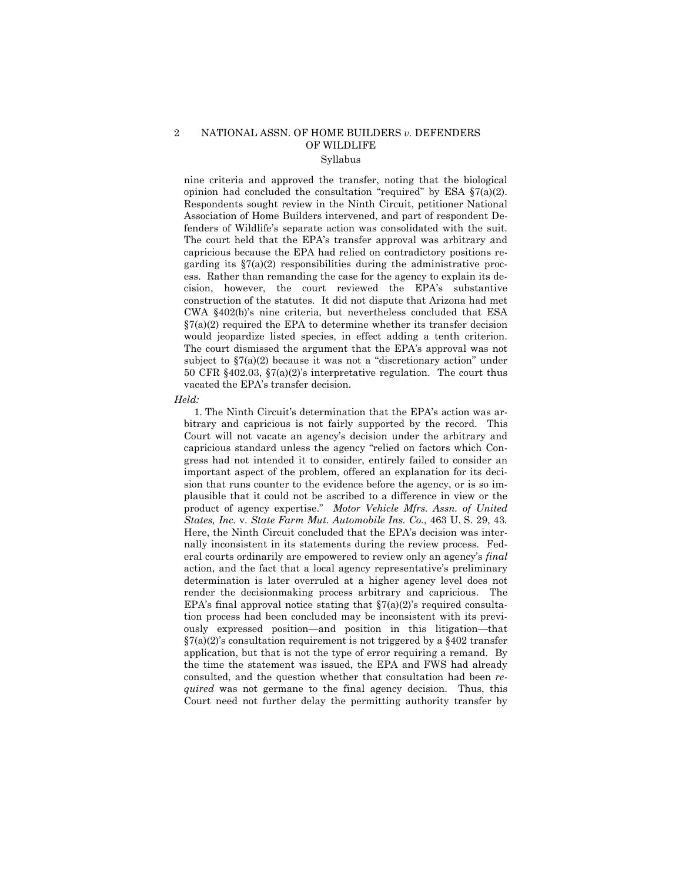### 2 NATIONAL ASSN. OF HOME BUILDERS *v.* DEFENDERS OF WILDLIFE Syllabus

### nine criteria and approved the transfer, noting that the biological opinion had concluded the consultation "required" by ESA  $\S7(a)(2)$ . Respondents sought review in the Ninth Circuit, petitioner National Association of Home Builders intervened, and part of respondent Defenders of Wildlifeís separate action was consolidated with the suit. The court held that the EPA's transfer approval was arbitrary and capricious because the EPA had relied on contradictory positions regarding its  $\S7(a)(2)$  responsibilities during the administrative process. Rather than remanding the case for the agency to explain its decision, however, the court reviewed the EPAís substantive construction of the statutes. It did not dispute that Arizona had met CWA ß402(b)ís nine criteria, but nevertheless concluded that ESA  $\S7(a)(2)$  required the EPA to determine whether its transfer decision would jeopardize listed species, in effect adding a tenth criterion. The court dismissed the argument that the EPA's approval was not subject to  $\S7(a)(2)$  because it was not a "discretionary action" under 50 CFR  $§402.03$ ,  $§7(a)(2)$ 's interpretative regulation. The court thus vacated the EPA's transfer decision.

#### *Held:*

1. The Ninth Circuit's determination that the EPA's action was arbitrary and capricious is not fairly supported by the record. This Court will not vacate an agencyís decision under the arbitrary and capricious standard unless the agency "relied on factors which Congress had not intended it to consider, entirely failed to consider an important aspect of the problem, offered an explanation for its decision that runs counter to the evidence before the agency, or is so implausible that it could not be ascribed to a difference in view or the product of agency expertise.î *Motor Vehicle Mfrs. Assn. of United States, Inc.* v. *State Farm Mut. Automobile Ins. Co.*, 463 U. S. 29, 43*.* Here, the Ninth Circuit concluded that the EPA's decision was internally inconsistent in its statements during the review process. Federal courts ordinarily are empowered to review only an agency's *final* action, and the fact that a local agency representative's preliminary determination is later overruled at a higher agency level does not render the decisionmaking process arbitrary and capricious. The EPA's final approval notice stating that  $\S7(a)(2)$ 's required consultation process had been concluded may be inconsistent with its previously expressed position—and position in this litigation—that  $\S7(a)(2)$ 's consultation requirement is not triggered by a  $\S402$  transfer application, but that is not the type of error requiring a remand. By the time the statement was issued, the EPA and FWS had already consulted, and the question whether that consultation had been *required* was not germane to the final agency decision. Thus, this Court need not further delay the permitting authority transfer by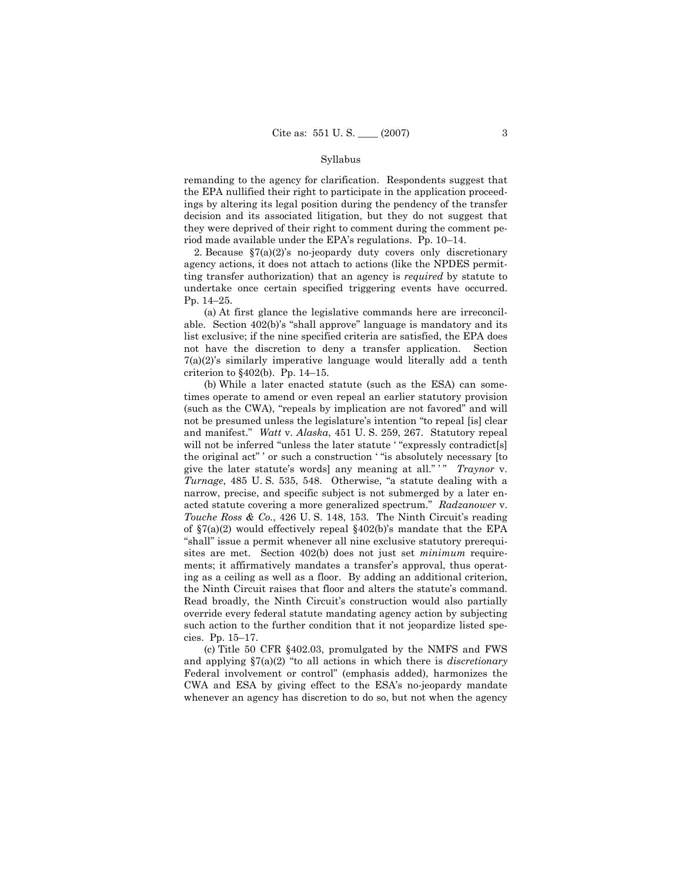### Syllabus

remanding to the agency for clarification. Respondents suggest that the EPA nullified their right to participate in the application proceedings by altering its legal position during the pendency of the transfer decision and its associated litigation, but they do not suggest that they were deprived of their right to comment during the comment period made available under the EPA's regulations. Pp.  $10-14$ .

2. Because  $\S7(a)(2)$ 's no-jeopardy duty covers only discretionary agency actions, it does not attach to actions (like the NPDES permitting transfer authorization) that an agency is *required* by statute to undertake once certain specified triggering events have occurred. Pp. 14-25.

 (a) At first glance the legislative commands here are irreconcilable. Section  $402(b)$ 's "shall approve" language is mandatory and its list exclusive; if the nine specified criteria are satisfied, the EPA does not have the discretion to deny a transfer application. Section  $7(a)(2)$ 's similarly imperative language would literally add a tenth criterion to  $§402(b)$ . Pp. 14–15.

 (b) While a later enacted statute (such as the ESA) can sometimes operate to amend or even repeal an earlier statutory provision (such as the CWA), "repeals by implication are not favored" and will not be presumed unless the legislature's intention "to repeal [is] clear and manifest.î *Watt* v. *Alaska*, 451 U. S. 259, 267. Statutory repeal will not be inferred "unless the later statute ' "expressly contradict[s] the original act" ' or such a construction ' "is absolutely necessary [to give the later statute's words] any meaning at all.<sup>"</sup> <sup>\*</sup>" *Traynor* v. *Turnage*, 485 U.S. 535, 548. Otherwise, "a statute dealing with a narrow, precise, and specific subject is not submerged by a later enacted statute covering a more generalized spectrum.î *Radzanower* v. *Touche Ross & Co.*, 426 U.S. 148, 153. The Ninth Circuit's reading of  $\S7(a)(2)$  would effectively repeal  $\S402(b)$ 's mandate that the EPA "shall" issue a permit whenever all nine exclusive statutory prerequisites are met. Section 402(b) does not just set *minimum* requirements; it affirmatively mandates a transfer's approval, thus operating as a ceiling as well as a floor. By adding an additional criterion, the Ninth Circuit raises that floor and alters the statute's command. Read broadly, the Ninth Circuit's construction would also partially override every federal statute mandating agency action by subjecting such action to the further condition that it not jeopardize listed species. Pp.  $15-17$ .

 (c) Title 50 CFR ß402.03, promulgated by the NMFS and FWS and applying  $\S7(a)(2)$  "to all actions in which there is *discretionary* Federal involvement or control" (emphasis added), harmonizes the CWA and ESA by giving effect to the ESAís no-jeopardy mandate whenever an agency has discretion to do so, but not when the agency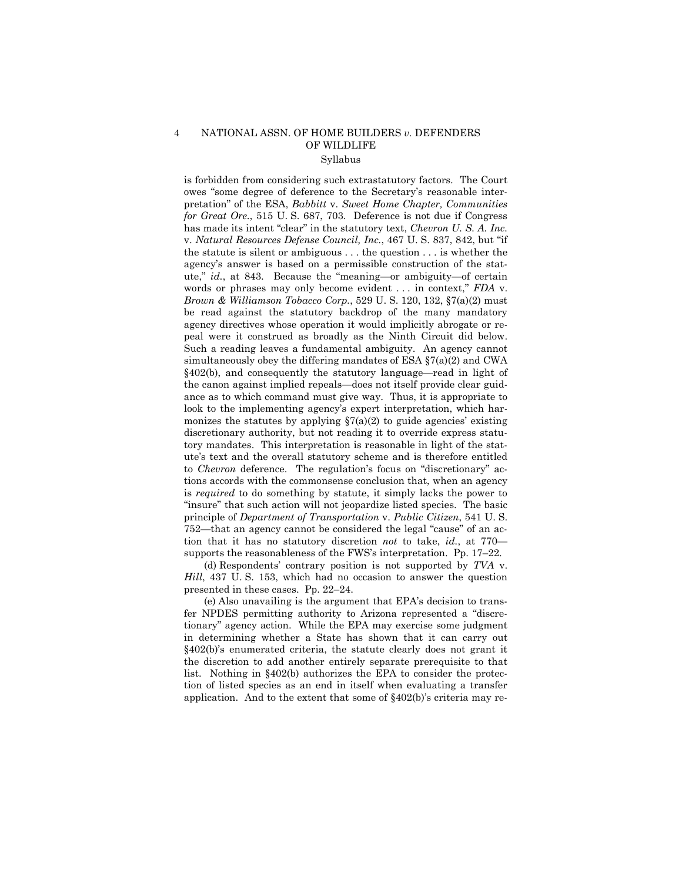#### NATIONAL ASSN. OF HOME BUILDERS  $v$ . DEFENDERS  $\overline{4}$ OF WILDLIFE Syllabus

is forbidden from considering such extrastatutory factors. The Court owes "some degree of deference to the Secretary's reasonable interpretation" of the ESA, Babbitt v. Sweet Home Chapter, Communities for Great Ore., 515 U.S. 687, 703. Deference is not due if Congress has made its intent "clear" in the statutory text, *Chevron U.S.A. Inc.* v. Natural Resources Defense Council, Inc., 467 U.S. 837, 842, but "if the statute is silent or ambiguous  $\dots$  the question  $\dots$  is whether the agency's answer is based on a permissible construction of the statute,"  $id.$ , at 843. Because the "meaning-or ambiguity-of certain words or phrases may only become evident ... in context," FDA v. Brown & Williamson Tobacco Corp., 529 U.S. 120, 132, §7(a)(2) must be read against the statutory backdrop of the many mandatory agency directives whose operation it would implicitly abrogate or repeal were it construed as broadly as the Ninth Circuit did below. Such a reading leaves a fundamental ambiguity. An agency cannot simultaneously obey the differing mandates of ESA  $\S7(a)(2)$  and CWA  $§402(b)$ , and consequently the statutory language—read in light of the canon against implied repeals—does not itself provide clear guidance as to which command must give way. Thus, it is appropriate to look to the implementing agency's expert interpretation, which harmonizes the statutes by applying  $\S7(a)(2)$  to guide agencies' existing discretionary authority, but not reading it to override express statutory mandates. This interpretation is reasonable in light of the statute's text and the overall statutory scheme and is therefore entitled to *Chevron* deference. The regulation's focus on "discretionary" actions accords with the commonsense conclusion that, when an agency is *required* to do something by statute, it simply lacks the power to "insure" that such action will not jeopardize listed species. The basic principle of *Department of Transportation v. Public Citizen*, 541 U.S. 752—that an agency cannot be considered the legal "cause" of an action that it has no statutory discretion not to take, id., at 770supports the reasonableness of the FWS's interpretation. Pp. 17-22.

(d) Respondents' contrary position is not supported by TVA v. *Hill*, 437 U.S. 153, which had no occasion to answer the question presented in these cases.  $Pp. 22-24$ .

(e) Also unavailing is the argument that EPA's decision to transfer NPDES permitting authority to Arizona represented a "discretionary" agency action. While the EPA may exercise some judgment in determining whether a State has shown that it can carry out  $§402(b)$ 's enumerated criteria, the statute clearly does not grant it the discretion to add another entirely separate prerequisite to that list. Nothing in §402(b) authorizes the EPA to consider the protection of listed species as an end in itself when evaluating a transfer application. And to the extent that some of  $§402(b)$ 's criteria may re-